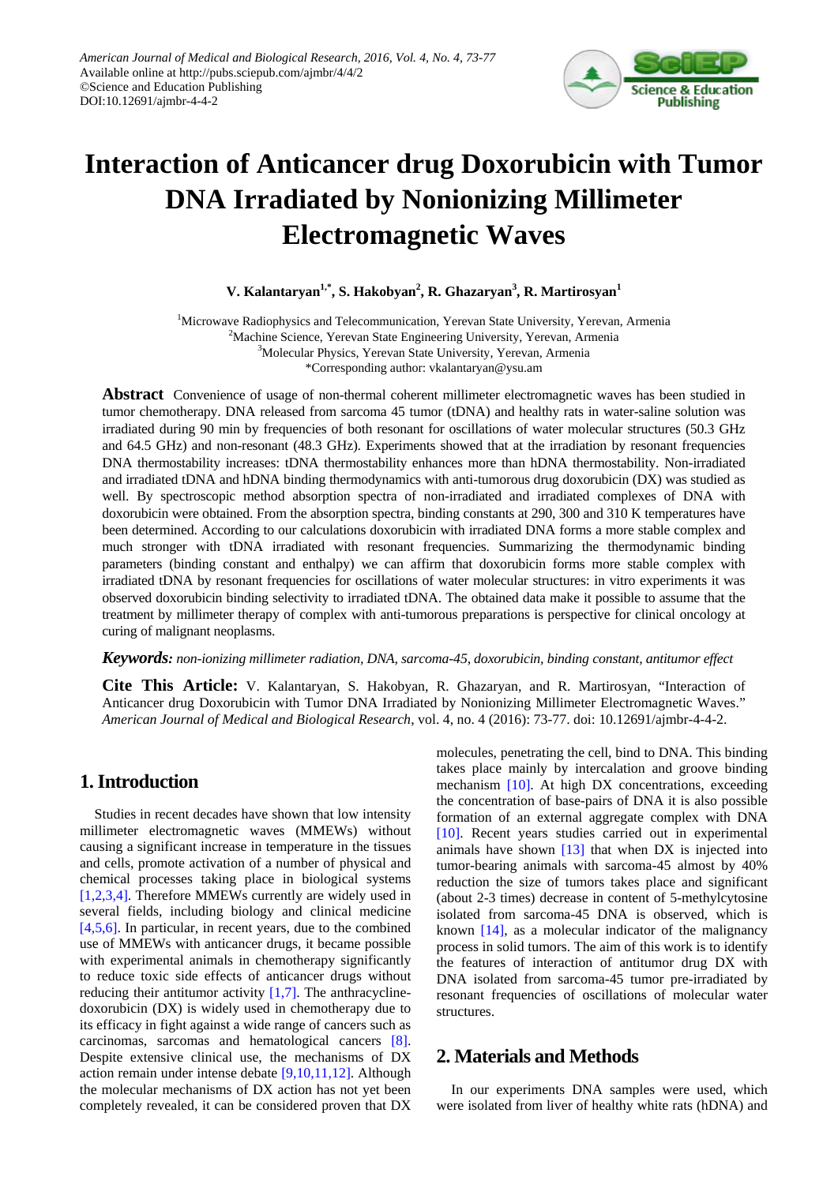

# **Interaction of Anticancer drug Doxorubicin with Tumor DNA Irradiated by Nonionizing Millimeter Electromagnetic Waves**

**V. Kalantaryan1,\*, S. Hakobyan2 , R. Ghazaryan<sup>3</sup> , R. Martirosyan<sup>1</sup>**

<sup>1</sup>Microwave Radiophysics and Telecommunication, Yerevan State University, Yerevan, Armenia <sup>2</sup>Machine Science, Yerevan State Engineering University, Yerevan, Armenia <sup>3</sup>Molecular Physics, Yerevan State University, Yerevan, Armenia \*Corresponding author: vkalantaryan@ysu.am

**Abstract** Convenience of usage of non-thermal coherent millimeter electromagnetic waves has been studied in tumor chemotherapy. DNA released from sarcoma 45 tumor (tDNA) and healthy rats in water-saline solution was irradiated during 90 min by frequencies of both resonant for oscillations of water molecular structures (50.3 GHz and 64.5 GHz) and non-resonant (48.3 GHz). Experiments showed that at the irradiation by resonant frequencies DNA thermostability increases: tDNA thermostability enhances more than hDNA thermostability. Non-irradiated and irradiated tDNA and hDNA binding thermodynamics with anti-tumorous drug doxorubicin (DX) was studied as well. By spectroscopic method absorption spectra of non-irradiated and irradiated complexes of DNA with doxorubicin were obtained. From the absorption spectra, binding constants at 290, 300 and 310 K temperatures have been determined. According to our calculations doxorubicin with irradiated DNA forms a more stable complex and much stronger with tDNA irradiated with resonant frequencies. Summarizing the thermodynamic binding parameters (binding constant and enthalpy) we can affirm that doxorubicin forms more stable complex with irradiated tDNA by resonant frequencies for oscillations of water molecular structures: in vitro experiments it was observed doxorubicin binding selectivity to irradiated tDNA. The obtained data make it possible to assume that the treatment by millimeter therapy of complex with anti-tumorous preparations is perspective for clinical oncology at curing of malignant neoplasms.

#### *Keywords: non-ionizing millimeter radiation, DNA, sarcoma-45, doxorubicin, binding constant, antitumor effect*

**Cite This Article:** V. Kalantaryan, S. Hakobyan, R. Ghazaryan, and R. Martirosyan, "Interaction of Anticancer drug Doxorubicin with Tumor DNA Irradiated by Nonionizing Millimeter Electromagnetic Waves." *American Journal of Medical and Biological Research*, vol. 4, no. 4 (2016): 73-77. doi: 10.12691/ajmbr-4-4-2.

## **1. Introduction**

Studies in recent decades have shown that low intensity millimeter electromagnetic waves (MMEWs) without causing a significant increase in temperature in the tissues and cells, promote activation of a number of physical and chemical processes taking place in biological systems [\[1,2,3,4\].](#page-4-0) Therefore MMEWs currently are widely used in several fields, including biology and clinical medicine [\[4,5,6\].](#page-4-1) In particular, in recent years, due to the combined use of MMEWs with anticancer drugs, it became possible with experimental animals in chemotherapy significantly to reduce toxic side effects of anticancer drugs without reducing their antitumor activity  $[1,7]$ . The anthracyclinedoxorubicin (DX) is widely used in chemotherapy due to its efficacy in fight against a wide range of cancers such as carcinomas, sarcomas and hematological cancers [\[8\].](#page-4-2) Despite extensive clinical use, the mechanisms of DX action remain under intense debate [\[9,10,11,12\].](#page-4-3) Although the molecular mechanisms of DX action has not yet been completely revealed, it can be considered proven that DX

molecules, penetrating the cell, bind to DNA. This binding takes place mainly by intercalation and groove binding mechanism [\[10\].](#page-4-4) At high DX concentrations, exceeding the concentration of base-pairs of DNA it is also possible formation of an external aggregate complex with DNA [\[10\].](#page-4-4) Recent years studies carried out in experimental animals have shown  $[13]$  that when DX is injected into tumor-bearing animals with sarcoma-45 almost by 40% reduction the size of tumors takes place and significant (about 2-3 times) decrease in content of 5-methylcytosine isolated from sarcoma-45 DNA is observed, which is known [\[14\],](#page-4-6) as a molecular indicator of the malignancy process in solid tumors. The aim of this work is to identify the features of interaction of antitumor drug DX with DNA isolated from sarcoma-45 tumor pre-irradiated by resonant frequencies of oscillations of molecular water structures.

## **2. Materials and Methods**

In our experiments DNA samples were used, which were isolated from liver of healthy white rats (hDNA) and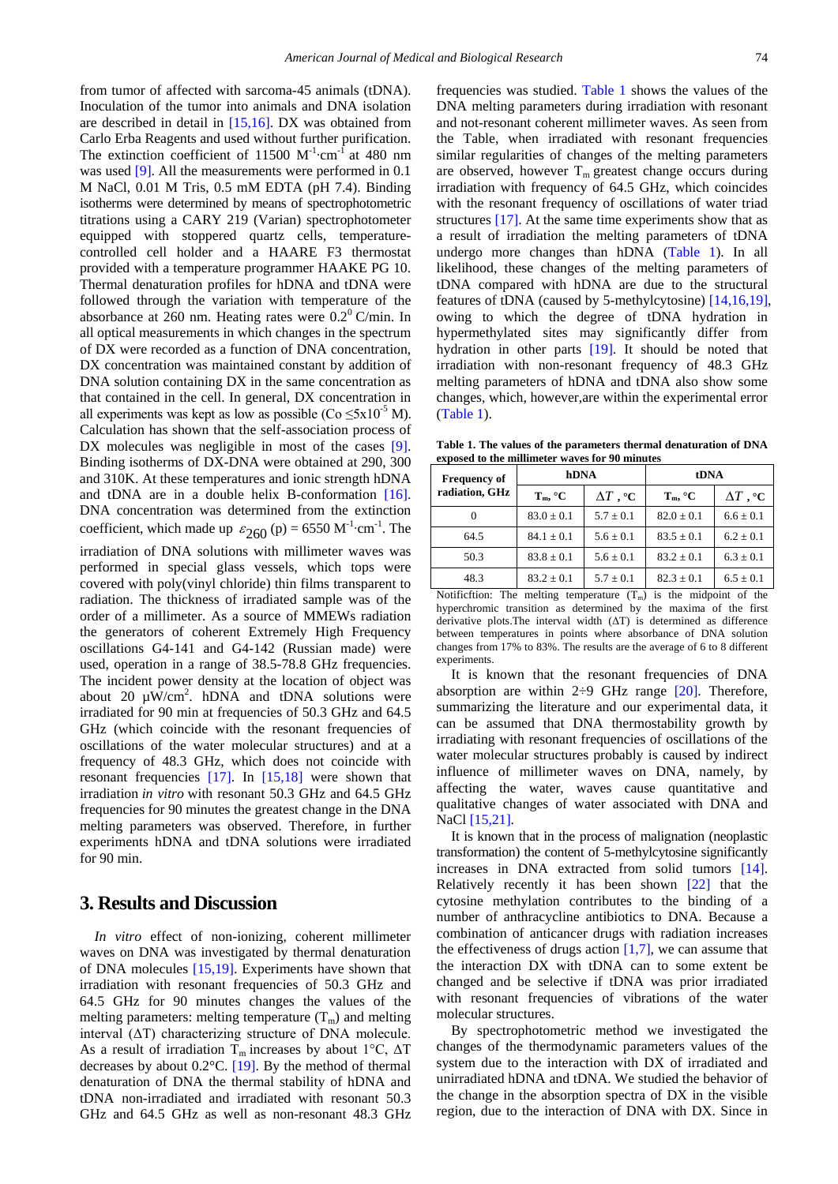from tumor of affected with sarcoma-45 animals (tDNA). Inoculation of the tumor into animals and DNA isolation are described in detail in [\[15,16\].](#page-4-7) DX was obtained from Carlo Erba Reagents and used without further purification. The extinction coefficient of 11500  $M^{-1}$ ·cm<sup>-1</sup> at 480 nm was used [\[9\].](#page-4-3) All the measurements were performed in 0.1 M NaCl, 0.01 M Tris, 0.5 mM EDTA (pH 7.4). Binding isotherms were determined by means of spectrophotometric titrations using a CARY 219 (Varian) spectrophotometer equipped with stoppered quartz cells, temperaturecontrolled cell holder and a HAARE F3 thermostat provided with a temperature programmer HAAKE PG 10. Thermal denaturation profiles for hDNA and tDNA were followed through the variation with temperature of the absorbance at 260 nm. Heating rates were  $0.2^{\circ}$  C/min. In all optical measurements in which changes in the spectrum of DX were recorded as a function of DNA concentration, DX concentration was maintained constant by addition of DNA solution containing DX in the same concentration as that contained in the cell. In general, DX concentration in all experiments was kept as low as possible ( $Co \leq 5x10^{-5}$  M). Calculation has shown that the self-association process of DX molecules was negligible in most of the cases [\[9\].](#page-4-3) Binding isotherms of DX-DNA were obtained at 290, 300 and 310K. At these temperatures and ionic strength hDNA and tDNA are in a double helix B-conformation [\[16\].](#page-4-8) DNA concentration was determined from the extinction coefficient, which made up  $\varepsilon_{260}$  (p) = 6550 M<sup>-1</sup>·cm<sup>-1</sup>. The irradiation of DNA solutions with millimeter waves was performed in special glass vessels, which tops were covered with poly(vinyl chloride) thin films transparent to radiation. The thickness of irradiated sample was of the order of a millimeter. As a source of MMEWs radiation the generators of coherent Extremely High Frequency oscillations G4-141 and G4-142 (Russian made) were used, operation in a range of 38.5-78.8 GHz frequencies. The incident power density at the location of object was about 20  $\mu$ W/cm<sup>2</sup>. hDNA and tDNA solutions were irradiated for 90 min at frequencies of 50.3 GHz and 64.5 GHz (which coincide with the resonant frequencies of oscillations of the water molecular structures) and at a frequency of 48.3 GHz, which does not coincide with resonant frequencies [\[17\].](#page-4-9) In [\[15,18\]](#page-4-7) were shown that irradiation *in vitro* with resonant 50.3 GHz and 64.5 GHz frequencies for 90 minutes the greatest change in the DNA melting parameters was observed. Therefore, in further experiments hDNA and tDNA solutions were irradiated

#### **3. Results and Discussion**

for 90 min.

*In vitro* effect of non-ionizing, coherent millimeter waves on DNA was investigated by thermal denaturation of DNA molecules [\[15,19\].](#page-4-7) Experiments have shown that irradiation with resonant frequencies of 50.3 GHz and 64.5 GHz for 90 minutes changes the values of the melting parameters: melting temperature  $(T_m)$  and melting interval  $(ΔT)$  characterizing structure of DNA molecule. As a result of irradiation  $T_m$  increases by about 1°C,  $\Delta T$ decreases by about 0.2°C. [\[19\].](#page-4-10) By the method of thermal denaturation of DNA the thermal stability of hDNA and tDNA non-irradiated and irradiated with resonant 50.3 GHz and 64.5 GHz as well as non-resonant 48.3 GHz frequencies was studied. [Table 1](#page-1-0) shows the values of the DNA melting parameters during irradiation with resonant and not-resonant coherent millimeter waves. As seen from the Table, when irradiated with resonant frequencies similar regularities of changes of the melting parameters are observed, however  $T_m$  greatest change occurs during irradiation with frequency of 64.5 GHz, which coincides with the resonant frequency of oscillations of water triad structure[s \[17\].](#page-4-9) At the same time experiments show that as a result of irradiation the melting parameters of tDNA undergo more changes than hDNA [\(Table 1\)](#page-1-0). In all likelihood, these changes of the melting parameters of tDNA compared with hDNA are due to the structural features of tDNA (caused by 5-methylcytosine) [\[14,16,19\],](#page-4-6) owing to which the degree of tDNA hydration in hypermethylated sites may significantly differ from hydration in other parts [\[19\].](#page-4-10) It should be noted that irradiation with non-resonant frequency of 48.3 GHz melting parameters of hDNA and tDNA also show some changes, which, however,are within the experimental error [\(Table 1\)](#page-1-0).

**Table 1. The values of the parameters thermal denaturation of DNA exposed to the millimeter waves for 90 minutes**

<span id="page-1-0"></span>

| <b>Frequency of</b><br>radiation, GHz | hDNA                  |                           | tDNA                  |                           |  |
|---------------------------------------|-----------------------|---------------------------|-----------------------|---------------------------|--|
|                                       | $T_m$ , ${}^{\circ}C$ | $\Delta T$ , $^{\circ}$ C | $T_m$ , ${}^{\circ}C$ | $\Delta T$ , $^{\circ}$ C |  |
|                                       | $83.0 \pm 0.1$        | $5.7 \pm 0.1$             | $82.0 \pm 0.1$        | $6.6 \pm 0.1$             |  |
| 64.5                                  | $84.1 \pm 0.1$        | $5.6 \pm 0.1$             | $83.5 \pm 0.1$        | $6.2 \pm 0.1$             |  |
| 50.3                                  | $83.8 \pm 0.1$        | $5.6 \pm 0.1$             | $83.2 \pm 0.1$        | $6.3 \pm 0.1$             |  |
| 48.3                                  | $83.2 \pm 0.1$        | $5.7 \pm 0.1$             | $82.3 \pm 0.1$        | $6.5 \pm 0.1$             |  |

Notificftion: The melting temperature  $(T_m)$  is the midpoint of the hyperchromic transition as determined by the maxima of the first derivative plots.The interval width (ΔT) is determined as difference between temperatures in points where absorbance of DNA solution changes from 17% to 83%. The results are the average of 6 to 8 different experiments.

It is known that the resonant frequencies of DNA absorption are within  $2\div 9$  GHz range [\[20\].](#page-4-11) Therefore, summarizing the literature and our experimental data, it can be assumed that DNA thermostability growth by irradiating with resonant frequencies of oscillations of the water molecular structures probably is caused by indirect influence of millimeter waves on DNA, namely, by affecting the water, waves cause quantitative and qualitative changes of water associated with DNA and NaCl [\[15,21\].](#page-4-7)

It is known that in the process of malignation (neoplastic transformation) the content of 5-methylcytosine significantly increases in DNA extracted from solid tumors [\[14\].](#page-4-6) Relatively recently it has been shown [\[22\]](#page-4-12) that the cytosine methylation contributes to the binding of a number of anthracycline antibiotics to DNA. Because a combination of anticancer drugs with radiation increases the effectiveness of drugs action  $[1,7]$ , we can assume that the interaction DX with tDNA can to some extent be changed and be selective if tDNA was prior irradiated with resonant frequencies of vibrations of the water molecular structures.

By spectrophotometric method we investigated the changes of the thermodynamic parameters values of the system due to the interaction with DX of irradiated and unirradiated hDNA and tDNA. We studied the behavior of the change in the absorption spectra of DX in the visible region, due to the interaction of DNA with DX. Since in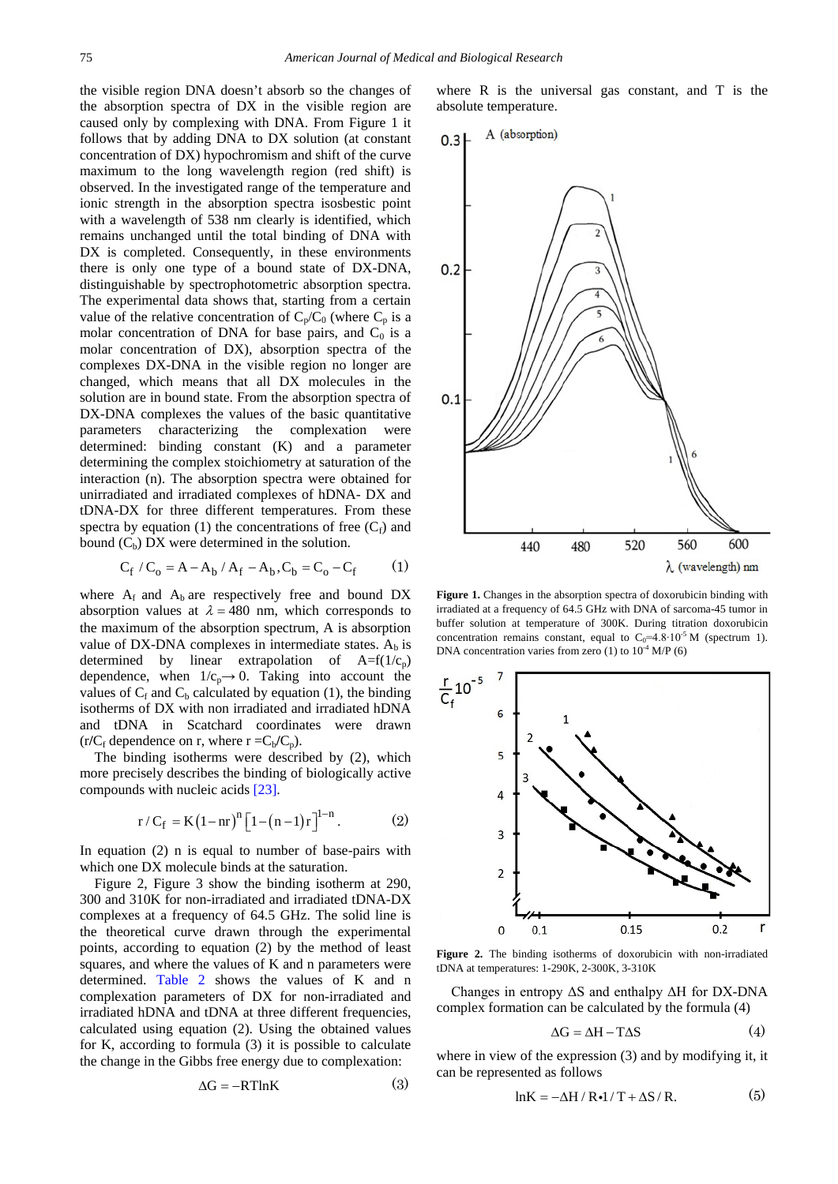the visible region DNA doesn't absorb so the changes of the absorption spectra of DX in the visible region are caused only by complexing with DNA. From Figure 1 it follows that by adding DNA to DX solution (at constant concentration of DX) hypochromism and shift of the curve maximum to the long wavelength region (red shift) is observed. In the investigated range of the temperature and ionic strength in the absorption spectra isosbestic point with a wavelength of 538 nm clearly is identified, which remains unchanged until the total binding of DNA with DX is completed. Consequently, in these environments there is only one type of a bound state of DX-DNA, distinguishable by spectrophotometric absorption spectra. The experimental data shows that, starting from a certain value of the relative concentration of  $C_p/C_0$  (where  $C_p$  is a molar concentration of DNA for base pairs, and  $C_0$  is a molar concentration of DX), absorption spectra of the complexes DX-DNA in the visible region no longer are changed, which means that all DX molecules in the solution are in bound state. From the absorption spectra of DX-DNA complexes the values of the basic quantitative parameters characterizing the complexation were determined: binding constant (K) and a parameter determining the complex stoichiometry at saturation of the interaction (n). The absorption spectra were obtained for unirradiated and irradiated complexes of hDNA- DX and tDNA-DX for three different temperatures. From these spectra by equation (1) the concentrations of free  $(C_f)$  and bound  $(C_b)$  DX were determined in the solution.

$$
C_f / C_o = A - A_b / A_f - A_b, C_b = C_o - C_f \tag{1}
$$

where  $A_f$  and  $A_b$  are respectively free and bound DX absorption values at  $\lambda = 480$  nm, which corresponds to the maximum of the absorption spectrum, A is absorption value of DX-DNA complexes in intermediate states.  $A_b$  is determined by linear extrapolation of  $A=f(1/c_p)$ dependence, when  $1/c_p \rightarrow 0$ . Taking into account the values of  $C_f$  and  $C_b$  calculated by equation (1), the binding isotherms of DX with non irradiated and irradiated hDNA and tDNA in Scatchard coordinates were drawn  $(r/C_f$  dependence on r, where  $r = C_b/C_p$ ).

The binding isotherms were described by (2), which more precisely describes the binding of biologically active compounds with nucleic acids [\[23\].](#page-4-13)

$$
r/C_f = K(1-nr)^{n} \left[1-(n-1)r\right]^{1-n}.
$$
 (2)

In equation (2) n is equal to number of base-pairs with which one DX molecule binds at the saturation.

Figure 2, Figure 3 show the binding isotherm at 290, 300 and 310K for non-irradiated and irradiated tDNA-DX complexes at a frequency of 64.5 GHz. The solid line is the theoretical curve drawn through the experimental points, according to equation (2) by the method of least squares, and where the values of K and n parameters were determined. [Table 2](#page-3-0) shows the values of K and n complexation parameters of DX for non-irradiated and irradiated hDNA and tDNA at three different frequencies, calculated using equation (2). Using the obtained values for K, according to formula (3) it is possible to calculate the change in the Gibbs free energy due to complexation:

$$
\Delta G = -RT \ln K \tag{3}
$$

where R is the universal gas constant, and T is the absolute temperature.



**Figure 1.** Changes in the absorption spectra of doxorubicin binding with irradiated at a frequency of 64.5 GHz with DNA of sarcoma-45 tumor in buffer solution at temperature of 300K. During titration doxorubicin concentration remains constant, equal to  $C_0$ =4.8⋅10<sup>-5</sup> M (spectrum 1). DNA concentration varies from zero  $(1)$  to  $10^{-4}$  M/P  $(6)$ 



**Figure 2.** The binding isotherms of doxorubicin with non-irradiated tDNA at temperatures: 1-290K, 2-300K, 3-310K

Changes in entropy ΔS and enthalpy ΔH for DX-DNA complex formation can be calculated by the formula (4)

$$
\Delta G = \Delta H - T\Delta S \tag{4}
$$

where in view of the expression (3) and by modifying it, it can be represented as follows

$$
lnK = -\Delta H / R \cdot 1 / T + \Delta S / R. \tag{5}
$$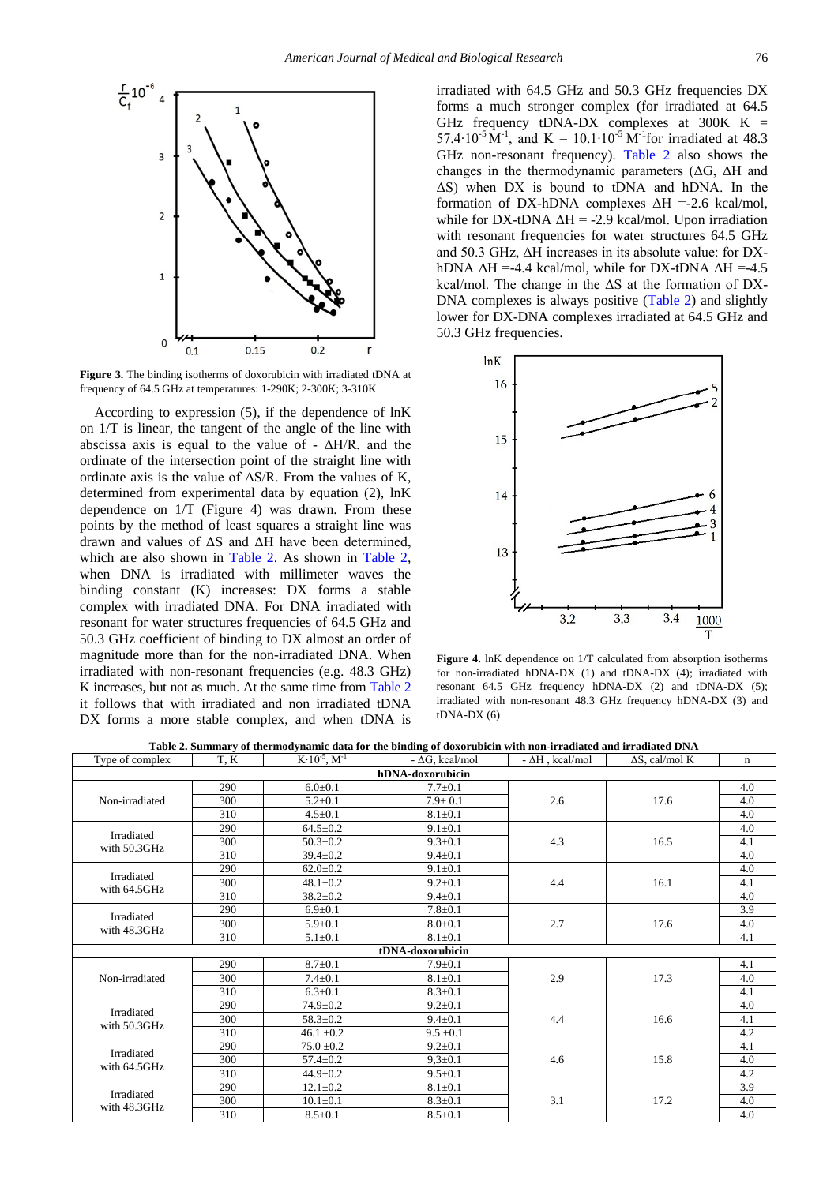

**Figure 3.** The binding isotherms of doxorubicin with irradiated tDNA at frequency of 64.5 GHz at temperatures: 1-290K; 2-300K; 3-310K

According to expression (5), if the dependence of lnK on 1/T is linear, the tangent of the angle of the line with abscissa axis is equal to the value of -  $\Delta H/R$ , and the ordinate of the intersection point of the straight line with ordinate axis is the value of  $\Delta S/R$ . From the values of K, determined from experimental data by equation (2), lnK dependence on 1/T (Figure 4) was drawn. From these points by the method of least squares a straight line was drawn and values of ΔS and ΔH have been determined, which are also shown in [Table 2.](#page-3-0) As shown in [Table 2,](#page-3-0) when DNA is irradiated with millimeter waves the binding constant (K) increases: DX forms a stable complex with irradiated DNA. For DNA irradiated with resonant for water structures frequencies of 64.5 GHz and 50.3 GHz coefficient of binding to DX almost an order of magnitude more than for the non-irradiated DNA. When irradiated with non-resonant frequencies (e.g. 48.3 GHz) K increases, but not as much. At the same time from [Table 2](#page-3-0) it follows that with irradiated and non irradiated tDNA DX forms a more stable complex, and when tDNA is irradiated with 64.5 GHz and 50.3 GHz frequencies DX forms a much stronger complex (for irradiated at 64.5 GHz frequency tDNA-DX complexes at  $300K$  K = 57.4⋅10<sup>-5</sup> M<sup>-1</sup>, and K = 10.1⋅10<sup>-5</sup> M<sup>-1</sup>for irradiated at 48.3 GHz non-resonant frequency). [Table 2](#page-3-0) also shows the changes in the thermodynamic parameters  $( \Delta G, \Delta H)$  and ΔS) when DX is bound to tDNA and hDNA. In the formation of DX-hDNA complexes  $\Delta H = -2.6$  kcal/mol, while for DX-tDNA  $\Delta H = -2.9$  kcal/mol. Upon irradiation with resonant frequencies for water structures 64.5 GHz and 50.3 GHz, ΔH increases in its absolute value: for DXhDNA  $\Delta H = -4.4$  kcal/mol, while for DX-tDNA  $\Delta H = -4.5$ kcal/mol. The change in the  $\Delta S$  at the formation of DX-DNA complexes is always positive [\(Table 2\)](#page-3-0) and slightly lower for DX-DNA complexes irradiated at 64.5 GHz and 50.3 GHz frequencies.



**Figure 4.** lnK dependence on 1/T calculated from absorption isotherms for non-irradiated hDNA-DX (1) and tDNA-DX (4); irradiated with resonant 64.5 GHz frequency hDNA-DX (2) and tDNA-DX (5); irradiated with non-resonant 48.3 GHz frequency hDNA-DX (3) and tDNA-DX (6)

**Table 2. Summary of thermodynamic data for the binding of doxorubicin with non-irradiated and irradiated DNA**

<span id="page-3-0"></span>

| Type of complex                   | T. K | $K \cdot 10^{-5}$ , $M^{-1}$ | $-\Delta G$ , kcal/mol | $- \Delta H$ , kcal/mol | $\Delta S$ , cal/mol K | n   |  |  |  |  |
|-----------------------------------|------|------------------------------|------------------------|-------------------------|------------------------|-----|--|--|--|--|
| hDNA-doxorubicin                  |      |                              |                        |                         |                        |     |  |  |  |  |
| Non-irradiated                    | 290  | $6.0 + 0.1$                  | $7.7 \pm 0.1$          | 2.6                     | 17.6                   | 4.0 |  |  |  |  |
|                                   | 300  | $5.2 \pm 0.1$                | $7.9 \pm 0.1$          |                         |                        | 4.0 |  |  |  |  |
|                                   | 310  | $4.5 \pm 0.1$                | $8.1 \pm 0.1$          |                         |                        | 4.0 |  |  |  |  |
| Irradiated<br>with 50.3GHz        | 290  | $64.5 \pm 0.2$               | $9.1 \pm 0.1$          | 4.3                     | 16.5                   | 4.0 |  |  |  |  |
|                                   | 300  | $50.3 \pm 0.2$               | $9.3 \pm 0.1$          |                         |                        | 4.1 |  |  |  |  |
|                                   | 310  | $39.4 \pm 0.2$               | $9.4+0.1$              |                         |                        | 4.0 |  |  |  |  |
| <b>Irradiated</b><br>with 64.5GHz | 290  | $62.0 \pm 0.2$               | $9.1 \pm 0.1$          | 4.4                     | 16.1                   | 4.0 |  |  |  |  |
|                                   | 300  | $48.1 \pm 0.2$               | $9.2 \pm 0.1$          |                         |                        | 4.1 |  |  |  |  |
|                                   | 310  | $38.2 \pm 0.2$               | $9.4 \pm 0.1$          |                         |                        | 4.0 |  |  |  |  |
| Irradiated<br>with 48.3GHz        | 290  | $6.9 \pm 0.1$                | $7.8 + 0.1$            | 2.7                     | 17.6                   | 3.9 |  |  |  |  |
|                                   | 300  | $5.9 \pm 0.1$                | $8.0 + 0.1$            |                         |                        | 4.0 |  |  |  |  |
|                                   | 310  | $5.1 \pm 0.1$                | $8.1 \pm 0.1$          |                         |                        | 4.1 |  |  |  |  |
| tDNA-doxorubicin                  |      |                              |                        |                         |                        |     |  |  |  |  |
| Non-irradiated                    | 290  | $8.7 \pm 0.1$                | $7.9 + 0.1$            | 2.9                     | 17.3                   | 4.1 |  |  |  |  |
|                                   | 300  | $7.4 \pm 0.1$                | $8.1 \pm 0.1$          |                         |                        | 4.0 |  |  |  |  |
|                                   | 310  | $6.3 \pm 0.1$                | $8.3 \pm 0.1$          |                         |                        | 4.1 |  |  |  |  |
| Irradiated<br>with 50.3GHz        | 290  | $74.9 \pm 0.2$               | $9.2 \pm 0.1$          | 4.4                     | 16.6                   | 4.0 |  |  |  |  |
|                                   | 300  | $58.3 \pm 0.2$               | $9.4 \pm 0.1$          |                         |                        | 4.1 |  |  |  |  |
|                                   | 310  | $46.1 \pm 0.2$               | $9.5 \pm 0.1$          |                         |                        | 4.2 |  |  |  |  |
| Irradiated<br>with 64.5GHz        | 290  | $75.0 \pm 0.2$               | $9.2 \pm 0.1$          | 4.6                     | 15.8                   | 4.1 |  |  |  |  |
|                                   | 300  | $57.4 \pm 0.2$               | $9.3 \pm 0.1$          |                         |                        | 4.0 |  |  |  |  |
|                                   | 310  | $44.9 \pm 0.2$               | $9.5 \pm 0.1$          |                         |                        | 4.2 |  |  |  |  |
| Irradiated<br>with 48.3GHz        | 290  | $12.1 \pm 0.2$               | $8.1 \pm 0.1$          | 3.1                     | 17.2                   | 3.9 |  |  |  |  |
|                                   | 300  | $10.1 \pm 0.1$               | $8.3 \pm 0.1$          |                         |                        | 4.0 |  |  |  |  |
|                                   | 310  | $8.5 \pm 0.1$                | $8.5 \pm 0.1$          |                         |                        | 4.0 |  |  |  |  |